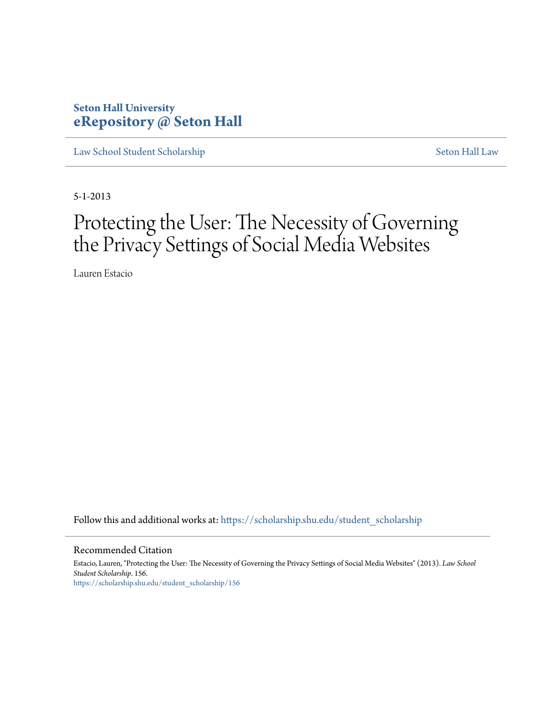## **Seton Hall University [eRepository @ Seton Hall](https://scholarship.shu.edu?utm_source=scholarship.shu.edu%2Fstudent_scholarship%2F156&utm_medium=PDF&utm_campaign=PDFCoverPages)**

[Law School Student Scholarship](https://scholarship.shu.edu/student_scholarship?utm_source=scholarship.shu.edu%2Fstudent_scholarship%2F156&utm_medium=PDF&utm_campaign=PDFCoverPages) [Seton Hall Law](https://scholarship.shu.edu/law?utm_source=scholarship.shu.edu%2Fstudent_scholarship%2F156&utm_medium=PDF&utm_campaign=PDFCoverPages)

5-1-2013

# Protecting the User: The Necessity of Governing the Privacy Settings of Social Media Websites

Lauren Estacio

Follow this and additional works at: [https://scholarship.shu.edu/student\\_scholarship](https://scholarship.shu.edu/student_scholarship?utm_source=scholarship.shu.edu%2Fstudent_scholarship%2F156&utm_medium=PDF&utm_campaign=PDFCoverPages)

#### Recommended Citation

Estacio, Lauren, "Protecting the User: The Necessity of Governing the Privacy Settings of Social Media Websites" (2013). *Law School Student Scholarship*. 156. [https://scholarship.shu.edu/student\\_scholarship/156](https://scholarship.shu.edu/student_scholarship/156?utm_source=scholarship.shu.edu%2Fstudent_scholarship%2F156&utm_medium=PDF&utm_campaign=PDFCoverPages)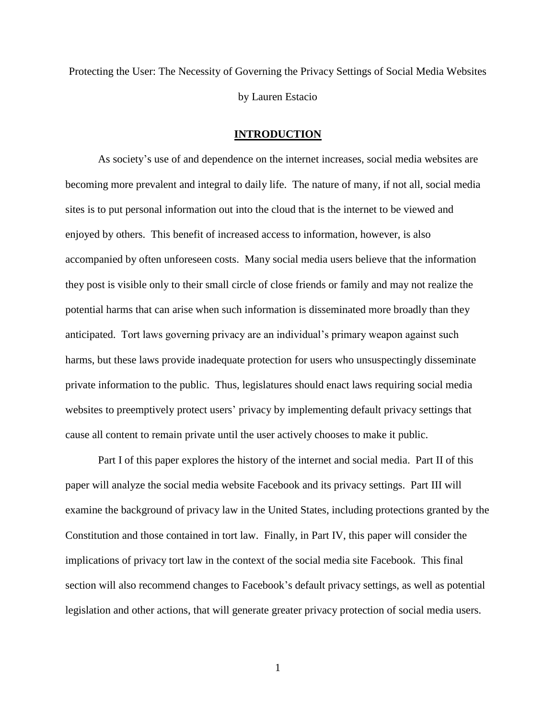Protecting the User: The Necessity of Governing the Privacy Settings of Social Media Websites by Lauren Estacio

#### **INTRODUCTION**

As society's use of and dependence on the internet increases, social media websites are becoming more prevalent and integral to daily life. The nature of many, if not all, social media sites is to put personal information out into the cloud that is the internet to be viewed and enjoyed by others. This benefit of increased access to information, however, is also accompanied by often unforeseen costs. Many social media users believe that the information they post is visible only to their small circle of close friends or family and may not realize the potential harms that can arise when such information is disseminated more broadly than they anticipated. Tort laws governing privacy are an individual's primary weapon against such harms, but these laws provide inadequate protection for users who unsuspectingly disseminate private information to the public. Thus, legislatures should enact laws requiring social media websites to preemptively protect users' privacy by implementing default privacy settings that cause all content to remain private until the user actively chooses to make it public.

Part I of this paper explores the history of the internet and social media. Part II of this paper will analyze the social media website Facebook and its privacy settings. Part III will examine the background of privacy law in the United States, including protections granted by the Constitution and those contained in tort law. Finally, in Part IV, this paper will consider the implications of privacy tort law in the context of the social media site Facebook. This final section will also recommend changes to Facebook's default privacy settings, as well as potential legislation and other actions, that will generate greater privacy protection of social media users.

1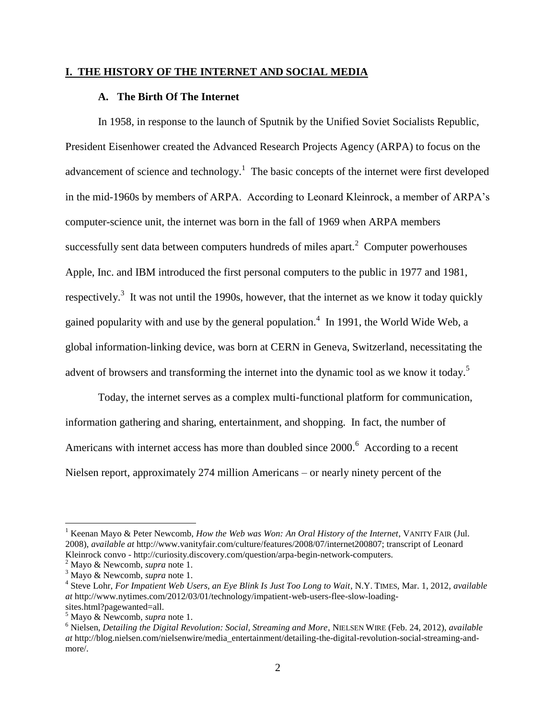#### **I. THE HISTORY OF THE INTERNET AND SOCIAL MEDIA**

#### **A. The Birth Of The Internet**

In 1958, in response to the launch of Sputnik by the Unified Soviet Socialists Republic, President Eisenhower created the Advanced Research Projects Agency (ARPA) to focus on the advancement of science and technology.<sup>1</sup> The basic concepts of the internet were first developed in the mid-1960s by members of ARPA. According to Leonard Kleinrock, a member of ARPA's computer-science unit, the internet was born in the fall of 1969 when ARPA members successfully sent data between computers hundreds of miles apart. $2$  Computer powerhouses Apple, Inc. and IBM introduced the first personal computers to the public in 1977 and 1981, respectively.<sup>3</sup> It was not until the 1990s, however, that the internet as we know it today quickly gained popularity with and use by the general population.<sup>4</sup> In 1991, the World Wide Web, a global information-linking device, was born at CERN in Geneva, Switzerland, necessitating the advent of browsers and transforming the internet into the dynamic tool as we know it today.<sup>5</sup>

Today, the internet serves as a complex multi-functional platform for communication, information gathering and sharing, entertainment, and shopping. In fact, the number of Americans with internet access has more than doubled since 2000.<sup>6</sup> According to a recent Nielsen report, approximately 274 million Americans – or nearly ninety percent of the

<sup>1</sup> Keenan Mayo & Peter Newcomb, *How the Web was Won: An Oral History of the Internet*, VANITY FAIR (Jul. 2008), *available at* http://www.vanityfair.com/culture/features/2008/07/internet200807; transcript of Leonard Kleinrock convo - http://curiosity.discovery.com/question/arpa-begin-network-computers.

<sup>2</sup> Mayo & Newcomb, *supra* note 1.

<sup>3</sup> Mayo & Newcomb, *supra* note 1.

<sup>4</sup> Steve Lohr, *For Impatient Web Users, an Eye Blink Is Just Too Long to Wait*, N.Y. TIMES, Mar. 1, 2012, *available at* http://www.nytimes.com/2012/03/01/technology/impatient-web-users-flee-slow-loadingsites.html?pagewanted=all.

<sup>5</sup> Mayo & Newcomb, *supra* note 1.

<sup>6</sup> Nielsen, *Detailing the Digital Revolution: Social, Streaming and More*, NIELSEN WIRE (Feb. 24, 2012), *available at* http://blog.nielsen.com/nielsenwire/media\_entertainment/detailing-the-digital-revolution-social-streaming-andmore/.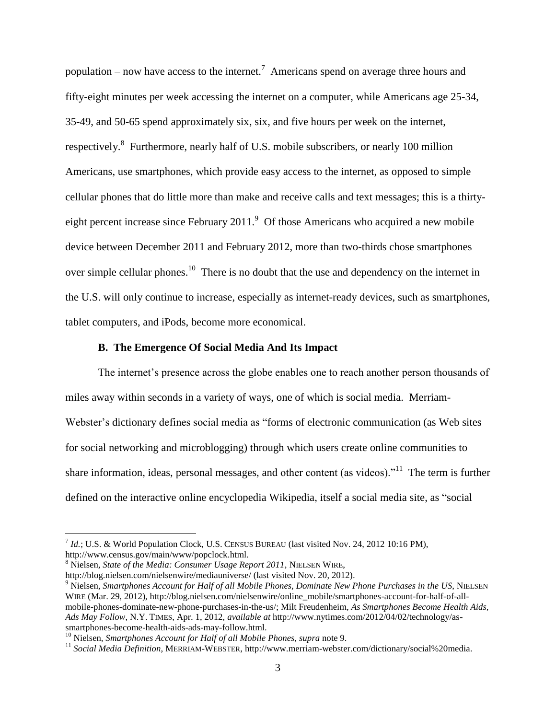population – now have access to the internet.<sup>7</sup> Americans spend on average three hours and fifty-eight minutes per week accessing the internet on a computer, while Americans age 25-34, 35-49, and 50-65 spend approximately six, six, and five hours per week on the internet, respectively.<sup>8</sup> Furthermore, nearly half of U.S. mobile subscribers, or nearly 100 million Americans, use smartphones, which provide easy access to the internet, as opposed to simple cellular phones that do little more than make and receive calls and text messages; this is a thirtyeight percent increase since February 2011.<sup>9</sup> Of those Americans who acquired a new mobile device between December 2011 and February 2012, more than two-thirds chose smartphones over simple cellular phones.<sup>10</sup> There is no doubt that the use and dependency on the internet in the U.S. will only continue to increase, especially as internet-ready devices, such as smartphones, tablet computers, and iPods, become more economical.

#### **B. The Emergence Of Social Media And Its Impact**

The internet's presence across the globe enables one to reach another person thousands of miles away within seconds in a variety of ways, one of which is social media. Merriam-Webster's dictionary defines social media as "forms of electronic communication (as Web sites for social networking and microblogging) through which users create online communities to share information, ideas, personal messages, and other content (as videos). $11$  The term is further defined on the interactive online encyclopedia Wikipedia, itself a social media site, as "social

<sup>7</sup> *Id.*; U.S. & World Population Clock, U.S. CENSUS BUREAU (last visited Nov. 24, 2012 10:16 PM), http://www.census.gov/main/www/popclock.html.

<sup>8</sup> Nielsen, *State of the Media: Consumer Usage Report 2011*, NIELSEN WIRE,

http://blog.nielsen.com/nielsenwire/mediauniverse/ (last visited Nov. 20, 2012).

<sup>9</sup> Nielsen, *Smartphones Account for Half of all Mobile Phones, Dominate New Phone Purchases in the US*, NIELSEN WIRE (Mar. 29, 2012), http://blog.nielsen.com/nielsenwire/online\_mobile/smartphones-account-for-half-of-allmobile-phones-dominate-new-phone-purchases-in-the-us/; Milt Freudenheim, *As Smartphones Become Health Aids, Ads May Follow*, N.Y. TIMES, Apr. 1, 2012, *available at* http://www.nytimes.com/2012/04/02/technology/assmartphones-become-health-aids-ads-may-follow.html.

<sup>10</sup> Nielsen, *Smartphones Account for Half of all Mobile Phones*, *supra* note 9.

<sup>11</sup> *Social Media Definition*, MERRIAM-WEBSTER, http://www.merriam-webster.com/dictionary/social%20media.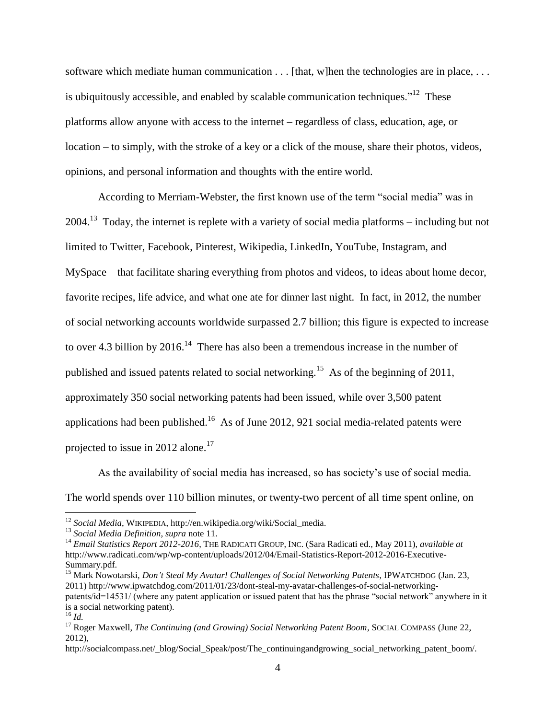software which mediate human communication . . . [that, w]hen the technologies are in place, . . . is ubiquitously accessible, and enabled by scalable communication techniques."<sup>12</sup> These platforms allow anyone with access to the internet – regardless of class, education, age, or location – to simply, with the stroke of a key or a click of the mouse, share their photos, videos, opinions, and personal information and thoughts with the entire world.

According to Merriam-Webster, the first known use of the term "social media" was in  $2004<sup>13</sup>$  Today, the internet is replete with a variety of social media platforms – including but not limited to Twitter, Facebook, Pinterest, Wikipedia, LinkedIn, YouTube, Instagram, and MySpace – that facilitate sharing everything from photos and videos, to ideas about home decor, favorite recipes, life advice, and what one ate for dinner last night. In fact, in 2012, the number of social networking accounts worldwide surpassed 2.7 billion; this figure is expected to increase to over 4.3 billion by 2016.<sup>14</sup> There has also been a tremendous increase in the number of published and issued patents related to social networking.<sup>15</sup> As of the beginning of 2011, approximately 350 social networking patents had been issued, while over 3,500 patent applications had been published.<sup>16</sup> As of June 2012, 921 social media-related patents were projected to issue in 2012 alone.<sup>17</sup>

As the availability of social media has increased, so has society's use of social media. The world spends over 110 billion minutes, or twenty-two percent of all time spent online, on

<sup>12</sup> *Social Media*, WIKIPEDIA, http://en.wikipedia.org/wiki/Social\_media.

<sup>13</sup> *Social Media Definition*, *supra* note 11.

<sup>&</sup>lt;sup>14</sup> *Email Statistics Report 2012-2016*, THE RADICATI GROUP, INC. (Sara Radicati ed., May 2011), *available at* http://www.radicati.com/wp/wp-content/uploads/2012/04/Email-Statistics-Report-2012-2016-Executive-Summary.pdf.

<sup>15</sup> Mark Nowotarski, *Don't Steal My Avatar! Challenges of Social Networking Patents*, IPWATCHDOG (Jan. 23, 2011) http://www.ipwatchdog.com/2011/01/23/dont-steal-my-avatar-challenges-of-social-networkingpatents/id=14531/ (where any patent application or issued patent that has the phrase "social network" anywhere in it is a social networking patent).

<sup>16</sup> *Id.*

<sup>&</sup>lt;sup>17</sup> Roger Maxwell, *The Continuing (and Growing) Social Networking Patent Boom*, SOCIAL COMPASS (June 22, 2012),

http://socialcompass.net/\_blog/Social\_Speak/post/The\_continuingandgrowing\_social\_networking\_patent\_boom/.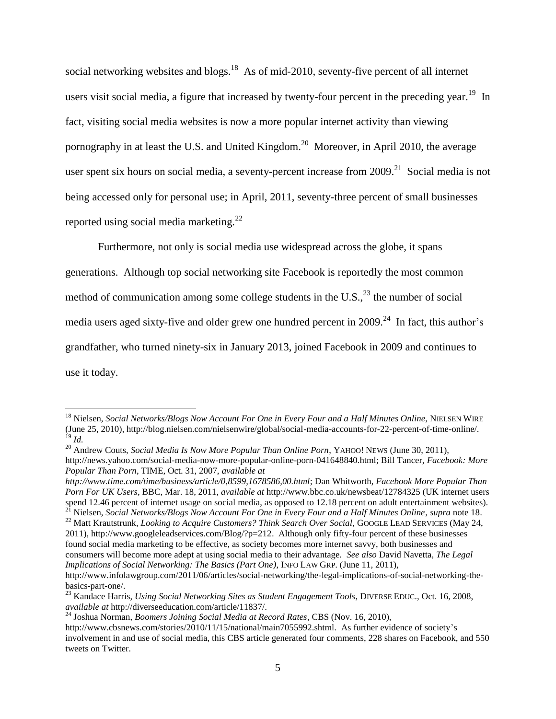social networking websites and blogs.<sup>18</sup> As of mid-2010, seventy-five percent of all internet users visit social media, a figure that increased by twenty-four percent in the preceding year.<sup>19</sup> In fact, visiting social media websites is now a more popular internet activity than viewing pornography in at least the U.S. and United Kingdom.<sup>20</sup> Moreover, in April 2010, the average user spent six hours on social media, a seventy-percent increase from  $2009$ <sup>21</sup> Social media is not being accessed only for personal use; in April, 2011, seventy-three percent of small businesses reported using social media marketing.<sup>22</sup>

Furthermore, not only is social media use widespread across the globe, it spans

generations. Although top social networking site Facebook is reportedly the most common

method of communication among some college students in the U.S.,  $^{23}$  the number of social

media users aged sixty-five and older grew one hundred percent in 2009.<sup>24</sup> In fact, this author's

grandfather, who turned ninety-six in January 2013, joined Facebook in 2009 and continues to

use it today.

<sup>&</sup>lt;sup>18</sup> Nielsen, *Social Networks/Blogs Now Account For One in Every Four and a Half Minutes Online*, NIELSEN WIRE (June 25, 2010), http://blog.nielsen.com/nielsenwire/global/social-media-accounts-for-22-percent-of-time-online/. <sup>19</sup> *Id.*

<sup>&</sup>lt;sup>20</sup> Andrew Couts, *Social Media Is Now More Popular Than Online Porn*, YAHOO! NEWS (June 30, 2011), http://news.yahoo.com/social-media-now-more-popular-online-porn-041648840.html; Bill Tancer, *Facebook: More Popular Than Porn*, TIME, Oct. 31, 2007, *available at* 

*http://www.time.com/time/business/article/0,8599,1678586,00.html*; Dan Whitworth, *Facebook More Popular Than Porn For UK Users*, BBC, Mar. 18, 2011, *available at* http://www.bbc.co.uk/newsbeat/12784325 (UK internet users spend 12.46 percent of internet usage on social media, as opposed to 12.18 percent on adult entertainment websites).

<sup>21</sup> Nielsen, *Social Networks/Blogs Now Account For One in Every Four and a Half Minutes Online*, *supra* note 18. <sup>22</sup> Matt Krautstrunk, *Looking to Acquire Customers? Think Search Over Social*, GOOGLE LEAD SERVICES (May 24,

<sup>2011),</sup> http://www.googleleadservices.com/Blog/?p=212. Although only fifty-four percent of these businesses found social media marketing to be effective, as society becomes more internet savvy, both businesses and consumers will become more adept at using social media to their advantage. *See also* David Navetta, *The Legal Implications of Social Networking: The Basics (Part One)*, INFO LAW GRP. (June 11, 2011), http://www.infolawgroup.com/2011/06/articles/social-networking/the-legal-implications-of-social-networking-the-

basics-part-one/.

<sup>&</sup>lt;sup>23</sup> Kandace Harris, *Using Social Networking Sites as Student Engagement Tools*, DIVERSE EDUC., Oct. 16, 2008, *available at* http://diverseeducation.com/article/11837/.

<sup>24</sup> Joshua Norman, *Boomers Joining Social Media at Record Rates*, CBS (Nov. 16, 2010),

http://www.cbsnews.com/stories/2010/11/15/national/main7055992.shtml. As further evidence of society's involvement in and use of social media, this CBS article generated four comments, 228 shares on Facebook, and 550 tweets on Twitter.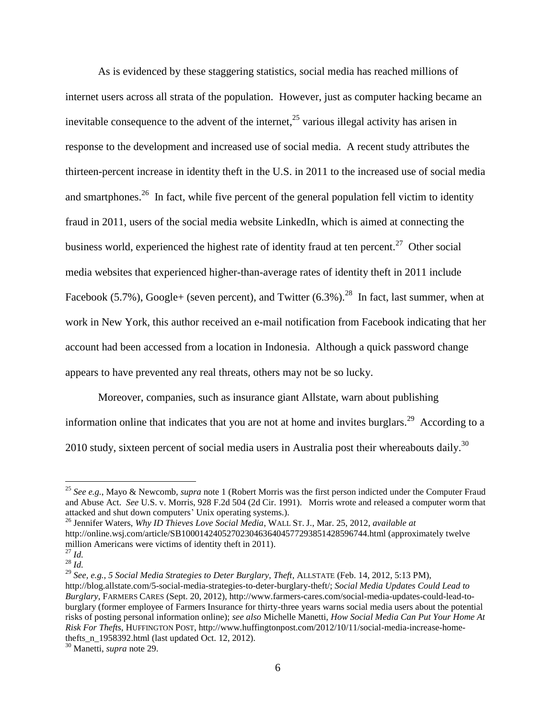As is evidenced by these staggering statistics, social media has reached millions of internet users across all strata of the population. However, just as computer hacking became an inevitable consequence to the advent of the internet,  $^{25}$  various illegal activity has arisen in response to the development and increased use of social media. A recent study attributes the thirteen-percent increase in identity theft in the U.S. in 2011 to the increased use of social media and smartphones.<sup>26</sup> In fact, while five percent of the general population fell victim to identity fraud in 2011, users of the social media website LinkedIn, which is aimed at connecting the business world, experienced the highest rate of identity fraud at ten percent. $27$  Other social media websites that experienced higher-than-average rates of identity theft in 2011 include Facebook (5.7%), Google+ (seven percent), and Twitter  $(6.3\%)$ .<sup>28</sup> In fact, last summer, when at work in New York, this author received an e-mail notification from Facebook indicating that her account had been accessed from a location in Indonesia. Although a quick password change appears to have prevented any real threats, others may not be so lucky.

Moreover, companies, such as insurance giant Allstate, warn about publishing information online that indicates that you are not at home and invites burglars.<sup>29</sup> According to a 2010 study, sixteen percent of social media users in Australia post their whereabouts daily.<sup>30</sup>

 $\overline{a}$ 

<sup>29</sup> *See, e.g.*, *5 Social Media Strategies to Deter Burglary, Theft*, ALLSTATE (Feb. 14, 2012, 5:13 PM), http://blog.allstate.com/5-social-media-strategies-to-deter-burglary-theft/; *Social Media Updates Could Lead to Burglary*, FARMERS CARES (Sept. 20, 2012), http://www.farmers-cares.com/social-media-updates-could-lead-toburglary (former employee of Farmers Insurance for thirty-three years warns social media users about the potential risks of posting personal information online); *see also* Michelle Manetti, *How Social Media Can Put Your Home At Risk For Thefts*, HUFFINGTON POST, http://www.huffingtonpost.com/2012/10/11/social-media-increase-homethefts  $n_1958392.html$ . (last updated Oct. 12, 2012).

<sup>25</sup> *See e.g.*, Mayo & Newcomb, *supra* note 1 (Robert Morris was the first person indicted under the Computer Fraud and Abuse Act. *See* U.S. v. Morris, 928 F.2d 504 (2d Cir. 1991). Morris wrote and released a computer worm that attacked and shut down computers' Unix operating systems.).

<sup>26</sup> Jennifer Waters, *Why ID Thieves Love Social Media*, WALL ST. J., Mar. 25, 2012, *available at*  http://online.wsj.com/article/SB10001424052702304636404577293851428596744.html (approximately twelve million Americans were victims of identity theft in 2011).

<sup>27</sup> *Id.*  $^{28}$  *Id.* 

<sup>30</sup> Manetti, *supra* note 29.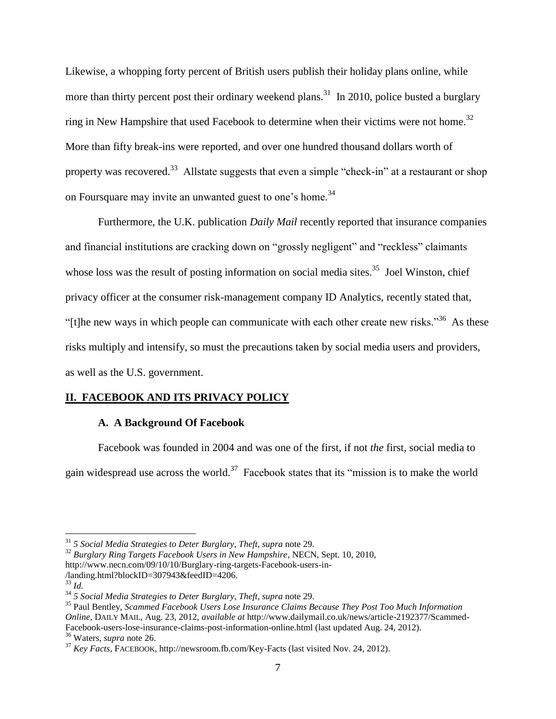Likewise, a whopping forty percent of British users publish their holiday plans online, while more than thirty percent post their ordinary weekend plans.<sup>31</sup> In 2010, police busted a burglary ring in New Hampshire that used Facebook to determine when their victims were not home.<sup>32</sup> More than fifty break-ins were reported, and over one hundred thousand dollars worth of property was recovered.<sup>33</sup> Allstate suggests that even a simple "check-in" at a restaurant or shop on Foursquare may invite an unwanted guest to one's home.<sup>34</sup>

Furthermore, the U.K. publication *Daily Mail* recently reported that insurance companies and financial institutions are cracking down on "grossly negligent" and "reckless" claimants whose loss was the result of posting information on social media sites.<sup>35</sup> Joel Winston, chief privacy officer at the consumer risk-management company ID Analytics, recently stated that, "[t]he new ways in which people can communicate with each other create new risks."<sup>36</sup> As these risks multiply and intensify, so must the precautions taken by social media users and providers, as well as the U.S. government.

#### **II. FACEBOOK AND ITS PRIVACY POLICY**

#### **A. A Background Of Facebook**

Facebook was founded in 2004 and was one of the first, if not *the* first, social media to gain widespread use across the world.<sup>37</sup> Facebook states that its "mission is to make the world

<sup>31</sup> *5 Social Media Strategies to Deter Burglary, Theft*, *supra* note 29.

<sup>32</sup> *Burglary Ring Targets Facebook Users in New Hampshire*, NECN, Sept. 10, 2010, http://www.necn.com/09/10/10/Burglary-ring-targets-Facebook-users-in-

<sup>/</sup>landing.html?blockID=307943&feedID=4206.

<sup>33</sup> *Id.*

<sup>34</sup> *5 Social Media Strategies to Deter Burglary, Theft*, *supra* note 29.

<sup>35</sup> Paul Bentley, *Scammed Facebook Users Lose Insurance Claims Because They Post Too Much Information Online*, DAILY MAIL, Aug. 23, 2012, *available at* http://www.dailymail.co.uk/news/article-2192377/Scammed-Facebook-users-lose-insurance-claims-post-information-online.html (last updated Aug. 24, 2012). <sup>36</sup> Waters, *supra* note 26.

<sup>37</sup> *Key Facts*, FACEBOOK, http://newsroom.fb.com/Key-Facts (last visited Nov. 24, 2012).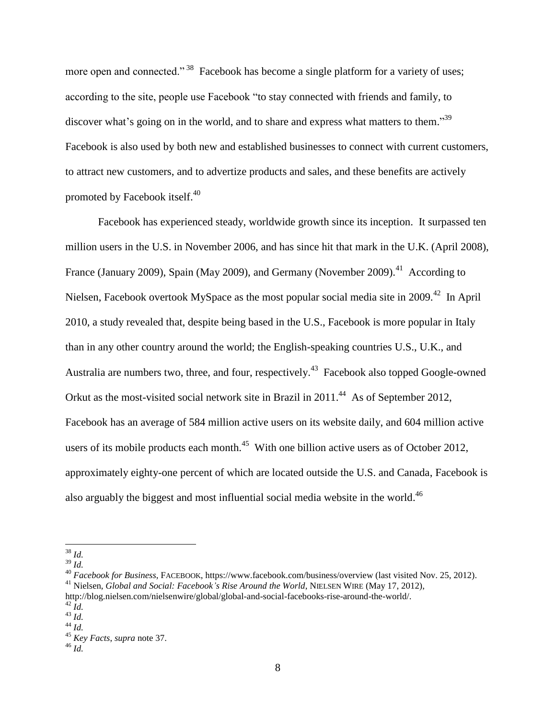more open and connected."<sup>38</sup> Facebook has become a single platform for a variety of uses; according to the site, people use Facebook "to stay connected with friends and family, to discover what's going on in the world, and to share and express what matters to them."<sup>39</sup> Facebook is also used by both new and established businesses to connect with current customers, to attract new customers, and to advertize products and sales, and these benefits are actively promoted by Facebook itself.<sup>40</sup>

Facebook has experienced steady, worldwide growth since its inception. It surpassed ten million users in the U.S. in November 2006, and has since hit that mark in the U.K. (April 2008), France (January 2009), Spain (May 2009), and Germany (November 2009).<sup>41</sup> According to Nielsen, Facebook overtook MySpace as the most popular social media site in 2009.<sup>42</sup> In April 2010, a study revealed that, despite being based in the U.S., Facebook is more popular in Italy than in any other country around the world; the English-speaking countries U.S., U.K., and Australia are numbers two, three, and four, respectively.<sup>43</sup> Facebook also topped Google-owned Orkut as the most-visited social network site in Brazil in 2011.<sup>44</sup> As of September 2012, Facebook has an average of 584 million active users on its website daily, and 604 million active users of its mobile products each month. $45$  With one billion active users as of October 2012, approximately eighty-one percent of which are located outside the U.S. and Canada, Facebook is also arguably the biggest and most influential social media website in the world.<sup>46</sup>

 $\overline{a}$ 

<sup>39</sup> *Id.*

<sup>38</sup> *Id.*

<sup>40</sup> *Facebook for Business*, FACEBOOK, https://www.facebook.com/business/overview (last visited Nov. 25, 2012). <sup>41</sup> Nielsen, *Global and Social: Facebook's Rise Around the World*, NIELSEN WIRE (May 17, 2012),

http://blog.nielsen.com/nielsenwire/global/global-and-social-facebooks-rise-around-the-world/.

<sup>42</sup> *Id.*

<sup>43</sup> *Id.*  $^{44}$   $\overline{Id}$ .

<sup>45</sup> *Key Facts*, *supra* note 37.

<sup>46</sup> *Id.*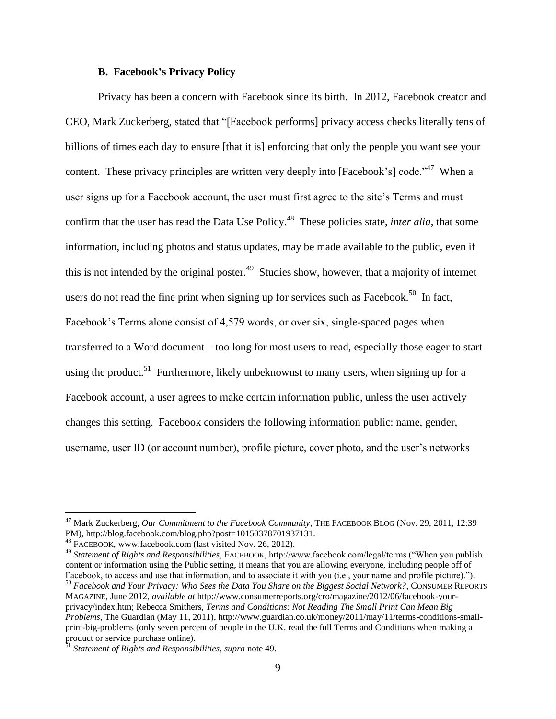#### **B. Facebook's Privacy Policy**

Privacy has been a concern with Facebook since its birth. In 2012, Facebook creator and CEO, Mark Zuckerberg, stated that "[Facebook performs] privacy access checks literally tens of billions of times each day to ensure [that it is] enforcing that only the people you want see your content. These privacy principles are written very deeply into [Facebook's] code.<sup> $3$ </sup> When a user signs up for a Facebook account, the user must first agree to the site's Terms and must confirm that the user has read the Data Use Policy.<sup>48</sup> These policies state, *inter alia*, that some information, including photos and status updates, may be made available to the public, even if this is not intended by the original poster.<sup>49</sup> Studies show, however, that a majority of internet users do not read the fine print when signing up for services such as Facebook.<sup>50</sup> In fact, Facebook's Terms alone consist of 4,579 words, or over six, single-spaced pages when transferred to a Word document – too long for most users to read, especially those eager to start using the product.<sup>51</sup> Furthermore, likely unbeknownst to many users, when signing up for a Facebook account, a user agrees to make certain information public, unless the user actively changes this setting. Facebook considers the following information public: name, gender, username, user ID (or account number), profile picture, cover photo, and the user's networks

<sup>47</sup> Mark Zuckerberg, *Our Commitment to the Facebook Community*, THE FACEBOOK BLOG (Nov. 29, 2011, 12:39 PM), http://blog.facebook.com/blog.php?post=10150378701937131.

<sup>48</sup> FACEBOOK, www.facebook.com (last visited Nov. 26, 2012).

<sup>49</sup> *Statement of Rights and Responsibilities*, FACEBOOK, http://www.facebook.com/legal/terms ("When you publish content or information using the Public setting, it means that you are allowing everyone, including people off of Facebook, to access and use that information, and to associate it with you (i.e., your name and profile picture).").

<sup>50</sup> *Facebook and Your Privacy: Who Sees the Data You Share on the Biggest Social Network?*, CONSUMER REPORTS MAGAZINE, June 2012, *available at* http://www.consumerreports.org/cro/magazine/2012/06/facebook-yourprivacy/index.htm; Rebecca Smithers, *Terms and Conditions: Not Reading The Small Print Can Mean Big Problems*, The Guardian (May 11, 2011), http://www.guardian.co.uk/money/2011/may/11/terms-conditions-smallprint-big-problems (only seven percent of people in the U.K. read the full Terms and Conditions when making a product or service purchase online).

<sup>51</sup> *Statement of Rights and Responsibilities*, *supra* note 49.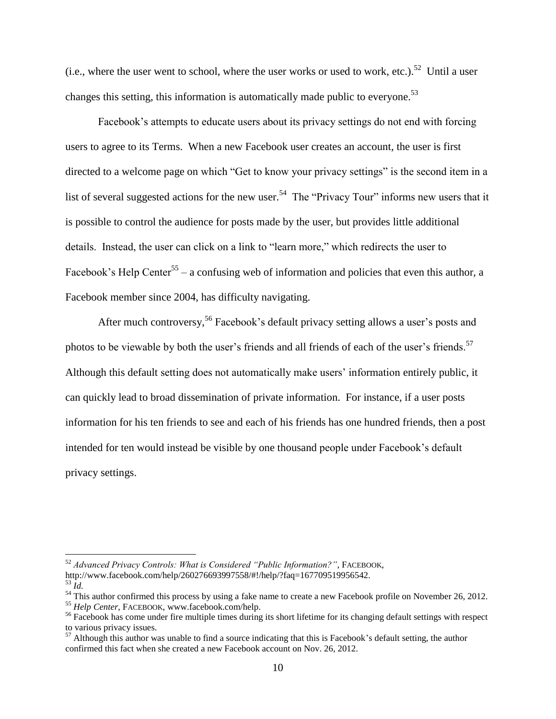(i.e., where the user went to school, where the user works or used to work, etc.).<sup>52</sup> Until a user changes this setting, this information is automatically made public to everyone.<sup>53</sup>

Facebook's attempts to educate users about its privacy settings do not end with forcing users to agree to its Terms. When a new Facebook user creates an account, the user is first directed to a welcome page on which "Get to know your privacy settings" is the second item in a list of several suggested actions for the new user.<sup>54</sup> The "Privacy Tour" informs new users that it is possible to control the audience for posts made by the user, but provides little additional details. Instead, the user can click on a link to "learn more," which redirects the user to Facebook's Help Center<sup>55</sup> – a confusing web of information and policies that even this author, a Facebook member since 2004, has difficulty navigating.

After much controversy,<sup>56</sup> Facebook's default privacy setting allows a user's posts and photos to be viewable by both the user's friends and all friends of each of the user's friends.<sup>57</sup> Although this default setting does not automatically make users' information entirely public, it can quickly lead to broad dissemination of private information. For instance, if a user posts information for his ten friends to see and each of his friends has one hundred friends, then a post intended for ten would instead be visible by one thousand people under Facebook's default privacy settings.

<sup>52</sup> *Advanced Privacy Controls: What is Considered "Public Information?"*, FACEBOOK, http://www.facebook.com/help/260276693997558/#!/help/?faq=167709519956542.

 $\overline{53}$   $\overline{Id}$ .

 $\frac{54}{100}$  This author confirmed this process by using a fake name to create a new Facebook profile on November 26, 2012.

<sup>55</sup> *Help Center*, FACEBOOK, www.facebook.com/help.

<sup>&</sup>lt;sup>56</sup> Facebook has come under fire multiple times during its short lifetime for its changing default settings with respect to various privacy issues.

 $57$  Although this author was unable to find a source indicating that this is Facebook's default setting, the author confirmed this fact when she created a new Facebook account on Nov. 26, 2012.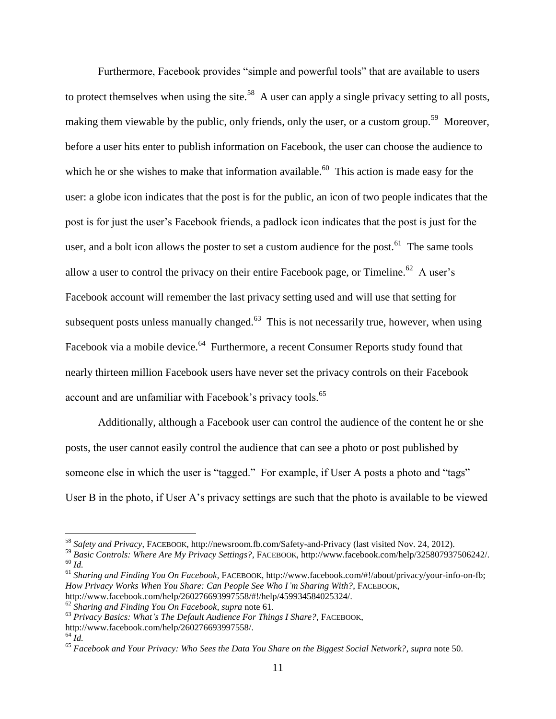Furthermore, Facebook provides "simple and powerful tools" that are available to users to protect themselves when using the site.<sup>58</sup> A user can apply a single privacy setting to all posts, making them viewable by the public, only friends, only the user, or a custom group.<sup>59</sup> Moreover, before a user hits enter to publish information on Facebook, the user can choose the audience to which he or she wishes to make that information available.<sup>60</sup> This action is made easy for the user: a globe icon indicates that the post is for the public, an icon of two people indicates that the post is for just the user's Facebook friends, a padlock icon indicates that the post is just for the user, and a bolt icon allows the poster to set a custom audience for the post.<sup>61</sup> The same tools allow a user to control the privacy on their entire Facebook page, or Timeline.<sup>62</sup> A user's Facebook account will remember the last privacy setting used and will use that setting for subsequent posts unless manually changed. $^{63}$  This is not necessarily true, however, when using Facebook via a mobile device.<sup>64</sup> Furthermore, a recent Consumer Reports study found that nearly thirteen million Facebook users have never set the privacy controls on their Facebook account and are unfamiliar with Facebook's privacy tools.<sup>65</sup>

Additionally, although a Facebook user can control the audience of the content he or she posts, the user cannot easily control the audience that can see a photo or post published by someone else in which the user is "tagged." For example, if User A posts a photo and "tags" User B in the photo, if User A's privacy settings are such that the photo is available to be viewed

<sup>58</sup> *Safety and Privacy*, FACEBOOK, http://newsroom.fb.com/Safety-and-Privacy (last visited Nov. 24, 2012).

<sup>59</sup> *Basic Controls: Where Are My Privacy Settings?*, FACEBOOK, http://www.facebook.com/help/325807937506242/. <sup>60</sup> *Id.*

<sup>61</sup> *Sharing and Finding You On Facebook*, FACEBOOK, http://www.facebook.com/#!/about/privacy/your-info-on-fb; *How Privacy Works When You Share: Can People See Who I'm Sharing With?*, FACEBOOK, http://www.facebook.com/help/260276693997558/#!/help/459934584025324/.

<sup>62</sup> *Sharing and Finding You On Facebook*, *supra* note 61.

<sup>63</sup> *Privacy Basics: What's The Default Audience For Things I Share?*, FACEBOOK,

http://www.facebook.com/help/260276693997558/.

 $64$  *Id.* 

<sup>65</sup> *Facebook and Your Privacy: Who Sees the Data You Share on the Biggest Social Network?*, *supra* note 50.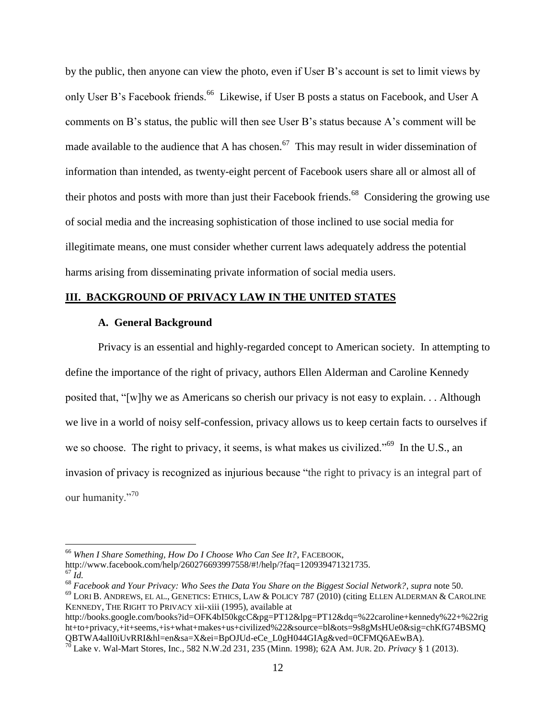by the public, then anyone can view the photo, even if User B's account is set to limit views by only User B's Facebook friends.<sup>66</sup> Likewise, if User B posts a status on Facebook, and User A comments on B's status, the public will then see User B's status because A's comment will be made available to the audience that A has chosen.<sup>67</sup> This may result in wider dissemination of information than intended, as twenty-eight percent of Facebook users share all or almost all of their photos and posts with more than just their Facebook friends.<sup>68</sup> Considering the growing use of social media and the increasing sophistication of those inclined to use social media for illegitimate means, one must consider whether current laws adequately address the potential harms arising from disseminating private information of social media users.

#### **III. BACKGROUND OF PRIVACY LAW IN THE UNITED STATES**

#### **A. General Background**

Privacy is an essential and highly-regarded concept to American society. In attempting to define the importance of the right of privacy, authors Ellen Alderman and Caroline Kennedy posited that, "[w]hy we as Americans so cherish our privacy is not easy to explain. . . Although we live in a world of noisy self-confession, privacy allows us to keep certain facts to ourselves if we so choose. The right to privacy, it seems, is what makes us civilized."<sup>69</sup> In the U.S., an invasion of privacy is recognized as injurious because "the right to privacy is an integral part of our humanity."<sup>70</sup>

<sup>66</sup> *When I Share Something, How Do I Choose Who Can See It?*, FACEBOOK,

http://www.facebook.com/help/260276693997558/#!/help/?faq=120939471321735.

 $^{67}$   $\bar{Id}$ .

<sup>68</sup> *Facebook and Your Privacy: Who Sees the Data You Share on the Biggest Social Network?*, *supra* note 50. <sup>69</sup> LORI B. ANDREWS, EL AL., GENETICS: ETHICS, LAW & POLICY 787 (2010) (citing ELLEN ALDERMAN & CAROLINE KENNEDY, THE RIGHT TO PRIVACY xii-xiii (1995), available at

http://books.google.com/books?id=OFK4bI50kgcC&pg=PT12&lpg=PT12&dq=%22caroline+kennedy%22+%22rig ht+to+privacy,+it+seems,+is+what+makes+us+civilized%22&source=bl&ots=9s8gMsHUe0&sig=chKfG74BSMQ QBTWA4alI0iUvRRI&hl=en&sa=X&ei=BpOJUd-eCe\_L0gH044GIAg&ved=0CFMQ6AEwBA).

<sup>70</sup> Lake v. Wal-Mart Stores, Inc., 582 N.W.2d 231, 235 (Minn. 1998); 62A AM. JUR. 2D. *Privacy* § 1 (2013).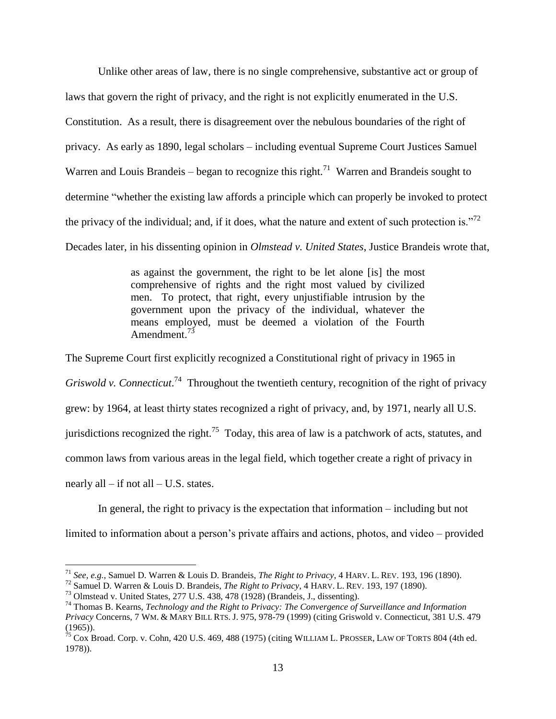Unlike other areas of law, there is no single comprehensive, substantive act or group of laws that govern the right of privacy, and the right is not explicitly enumerated in the U.S. Constitution. As a result, there is disagreement over the nebulous boundaries of the right of privacy. As early as 1890, legal scholars – including eventual Supreme Court Justices Samuel Warren and Louis Brandeis – began to recognize this right.<sup>71</sup> Warren and Brandeis sought to determine "whether the existing law affords a principle which can properly be invoked to protect the privacy of the individual; and, if it does, what the nature and extent of such protection is.<sup>772</sup>

Decades later, in his dissenting opinion in *Olmstead v. United States*, Justice Brandeis wrote that,

as against the government, the right to be let alone [is] the most comprehensive of rights and the right most valued by civilized men. To protect, that right, every unjustifiable intrusion by the government upon the privacy of the individual, whatever the means employed, must be deemed a violation of the Fourth Amendment.<sup>73</sup>

The Supreme Court first explicitly recognized a Constitutional right of privacy in 1965 in Griswold v. Connecticut.<sup>74</sup> Throughout the twentieth century, recognition of the right of privacy grew: by 1964, at least thirty states recognized a right of privacy, and, by 1971, nearly all U.S. jurisdictions recognized the right.<sup>75</sup> Today, this area of law is a patchwork of acts, statutes, and common laws from various areas in the legal field, which together create a right of privacy in nearly all  $-$  if not all  $-$  U.S. states.

In general, the right to privacy is the expectation that information – including but not

limited to information about a person's private affairs and actions, photos, and video – provided

<sup>71</sup> *See, e.g.*, Samuel D. Warren & Louis D. Brandeis, *The Right to Privacy*, 4 HARV. L. REV. 193, 196 (1890).

<sup>72</sup> Samuel D. Warren & Louis D. Brandeis, *The Right to Privacy*, 4 HARV. L. REV. 193, 197 (1890).

<sup>73</sup> Olmstead v. United States, 277 U.S. 438, 478 (1928) (Brandeis, J., dissenting).

<sup>74</sup> Thomas B. Kearns, *Technology and the Right to Privacy: The Convergence of Surveillance and Information Privacy* Concerns, 7 WM. & MARY BILL RTS. J. 975, 978-79 (1999) (citing Griswold v. Connecticut, 381 U.S. 479 (1965)).

<sup>&</sup>lt;sup>75</sup> Cox Broad. Corp. v. Cohn, 420 U.S. 469, 488 (1975) (citing WILLIAM L. PROSSER, LAW OF TORTS 804 (4th ed. 1978)).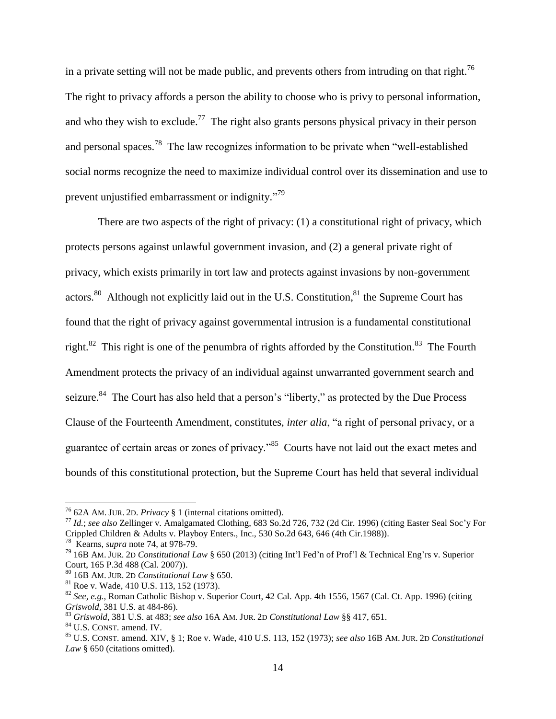in a private setting will not be made public, and prevents others from intruding on that right.<sup>76</sup> The right to privacy affords a person the ability to choose who is privy to personal information, and who they wish to exclude.<sup>77</sup> The right also grants persons physical privacy in their person and personal spaces.<sup>78</sup> The law recognizes information to be private when "well-established" social norms recognize the need to maximize individual control over its dissemination and use to prevent unjustified embarrassment or indignity."<sup>79</sup>

There are two aspects of the right of privacy: (1) a constitutional right of privacy, which protects persons against unlawful government invasion, and (2) a general private right of privacy, which exists primarily in tort law and protects against invasions by non-government actors.<sup>80</sup> Although not explicitly laid out in the U.S. Constitution,<sup>81</sup> the Supreme Court has found that the right of privacy against governmental intrusion is a fundamental constitutional right.<sup>82</sup> This right is one of the penumbra of rights afforded by the Constitution.<sup>83</sup> The Fourth Amendment protects the privacy of an individual against unwarranted government search and seizure.<sup>84</sup> The Court has also held that a person's "liberty," as protected by the Due Process Clause of the Fourteenth Amendment, constitutes, *inter alia*, "a right of personal privacy, or a guarantee of certain areas or zones of privacy."<sup>85</sup> Courts have not laid out the exact metes and bounds of this constitutional protection, but the Supreme Court has held that several individual

<sup>76</sup> 62A AM. JUR. 2D. *Privacy* § 1 (internal citations omitted).

<sup>77</sup> *Id.*; *see also* Zellinger v. Amalgamated Clothing, 683 So.2d 726, 732 (2d Cir. 1996) (citing Easter Seal Soc'y For Crippled Children & Adults v. Playboy Enters., Inc., 530 So.2d 643, 646 (4th Cir.1988)). 78 Kearns, *supra* note 74, at 978-79.

<sup>79</sup> 16B AM. JUR. 2<sup>D</sup> *Constitutional Law* § 650 (2013) (citing Int'l Fed'n of Prof'l & Technical Eng'rs v. Superior Court, 165 P.3d 488 (Cal. 2007)).

<sup>80</sup> 16B AM. JUR. 2<sup>D</sup> *Constitutional Law* § 650.

<sup>81</sup> Roe v. Wade, 410 U.S. 113, 152 (1973).

<sup>82</sup> *See, e.g.*, Roman Catholic Bishop v. Superior Court, 42 Cal. App. 4th 1556, 1567 (Cal. Ct. App. 1996) (citing *Griswold,* 381 U.S. at 484-86).

<sup>83</sup> *Griswold*, 381 U.S. at 483; *see also* 16A AM. JUR. 2<sup>D</sup> *Constitutional Law* §§ 417, 651.

<sup>84</sup> U.S. CONST. amend. IV.

<sup>85</sup> U.S. CONST. amend. XIV, § 1; Roe v. Wade, 410 U.S. 113, 152 (1973); *see also* 16B AM. JUR. 2<sup>D</sup> *Constitutional*  Law § 650 (citations omitted).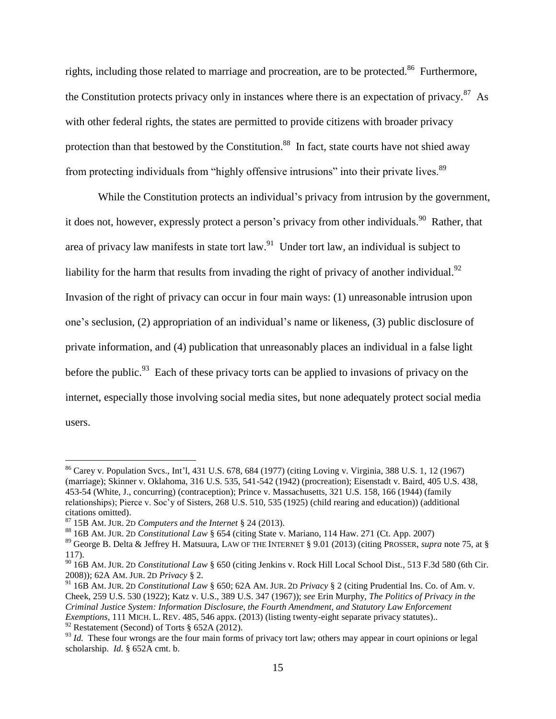rights, including those related to marriage and procreation, are to be protected.<sup>86</sup> Furthermore, the Constitution protects privacy only in instances where there is an expectation of privacy. $87$  As with other federal rights, the states are permitted to provide citizens with broader privacy protection than that bestowed by the Constitution.<sup>88</sup> In fact, state courts have not shied away from protecting individuals from "highly offensive intrusions" into their private lives.<sup>89</sup>

While the Constitution protects an individual's privacy from intrusion by the government, it does not, however, expressly protect a person's privacy from other individuals.<sup>90</sup> Rather, that area of privacy law manifests in state tort law.<sup>91</sup> Under tort law, an individual is subject to liability for the harm that results from invading the right of privacy of another individual.<sup>92</sup> Invasion of the right of privacy can occur in four main ways: (1) unreasonable intrusion upon one's seclusion, (2) appropriation of an individual's name or likeness, (3) public disclosure of private information, and (4) publication that unreasonably places an individual in a false light before the public.<sup>93</sup> Each of these privacy torts can be applied to invasions of privacy on the internet, especially those involving social media sites, but none adequately protect social media users.

<sup>86</sup> Carey v. Population Svcs., Int'l, 431 U.S. 678, 684 (1977) (citing Loving v. Virginia, 388 U.S. 1, 12 (1967) (marriage); Skinner v. Oklahoma, 316 U.S. 535, 541-542 (1942) (procreation); Eisenstadt v. Baird, 405 U.S. 438, 453-54 (White, J., concurring) (contraception); Prince v. Massachusetts, 321 U.S. 158, 166 (1944) (family relationships); Pierce v. Soc'y of Sisters, 268 U.S. 510, 535 (1925) (child rearing and education)) (additional citations omitted).

<sup>87</sup> 15B AM. JUR. 2<sup>D</sup> *Computers and the Internet* § 24 (2013).

<sup>88</sup> 16B AM. JUR. 2<sup>D</sup> *Constitutional Law* § 654 (citing State v. Mariano, 114 Haw. 271 (Ct. App. 2007)

<sup>89</sup> George B. Delta & Jeffrey H. Matsuura, LAW OF THE INTERNET § 9.01 (2013) (citing PROSSER, *supra* note 75, at § 117).

<sup>90</sup> 16B AM. JUR. 2<sup>D</sup> *Constitutional Law* § 650 (citing Jenkins v. Rock Hill Local School Dist., 513 F.3d 580 (6th Cir. 2008)); 62A AM. JUR. 2D *Privacy* § 2.

<sup>91</sup> 16B AM. JUR. 2<sup>D</sup> *Constitutional Law* § 650; 62A AM. JUR. 2<sup>D</sup> *Privacy* § 2 (citing Prudential Ins. Co. of Am. v. Cheek, 259 U.S. 530 (1922); Katz v. U.S., 389 U.S. 347 (1967)); *see* Erin Murphy, *The Politics of Privacy in the Criminal Justice System: Information Disclosure, the Fourth Amendment, and Statutory Law Enforcement Exemptions*, 111 MICH. L. REV. 485, 546 appx. (2013) (listing twenty-eight separate privacy statutes)..  $92$  Restatement (Second) of Torts § 652A (2012).

<sup>&</sup>lt;sup>93</sup> *Id.* These four wrongs are the four main forms of privacy tort law; others may appear in court opinions or legal scholarship. *Id.* § 652A cmt. b.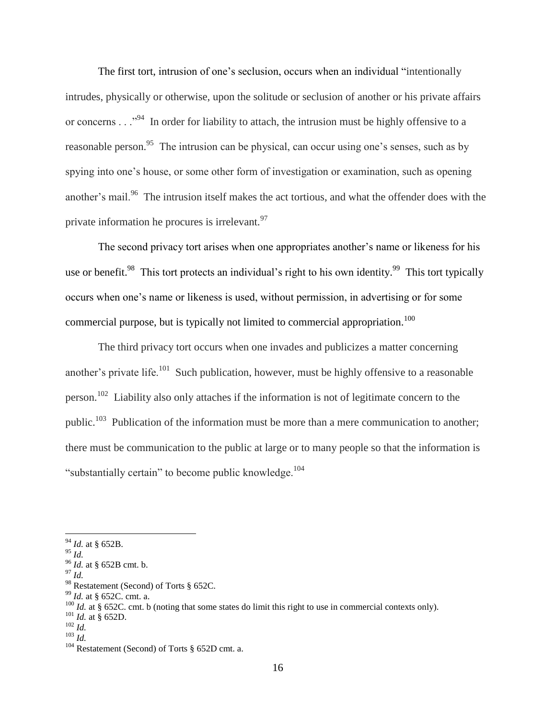The first tort, intrusion of one's seclusion, occurs when an individual "intentionally intrudes, physically or otherwise, upon the solitude or seclusion of another or his private affairs or concerns  $\ldots$ <sup>94</sup> In order for liability to attach, the intrusion must be highly offensive to a reasonable person.<sup>95</sup> The intrusion can be physical, can occur using one's senses, such as by spying into one's house, or some other form of investigation or examination, such as opening another's mail.<sup>96</sup> The intrusion itself makes the act tortious, and what the offender does with the private information he procures is irrelevant.  $97$ 

The second privacy tort arises when one appropriates another's name or likeness for his use or benefit.<sup>98</sup> This tort protects an individual's right to his own identity.<sup>99</sup> This tort typically occurs when one's name or likeness is used, without permission, in advertising or for some commercial purpose, but is typically not limited to commercial appropriation.<sup>100</sup>

The third privacy tort occurs when one invades and publicizes a matter concerning another's private life.<sup>101</sup> Such publication, however, must be highly offensive to a reasonable person.<sup>102</sup> Liability also only attaches if the information is not of legitimate concern to the public.<sup>103</sup> Publication of the information must be more than a mere communication to another; there must be communication to the public at large or to many people so that the information is "substantially certain" to become public knowledge.<sup>104</sup>

 $\overline{a}$ 

<sup>97</sup> *Id.*

<sup>94</sup> *Id.* at § 652B.

<sup>95</sup> *Id.*

<sup>96</sup> *Id.* at § 652B cmt. b.

<sup>98</sup> Restatement (Second) of Torts § 652C.

<sup>99</sup> *Id.* at § 652C. cmt. a.

<sup>&</sup>lt;sup>100</sup> *Id.* at § 652C. cmt. b (noting that some states do limit this right to use in commercial contexts only).

<sup>101</sup> *Id.* at § 652D.

<sup>102</sup> *Id.*

<sup>103</sup> *Id.*

 $104$  Restatement (Second) of Torts § 652D cmt. a.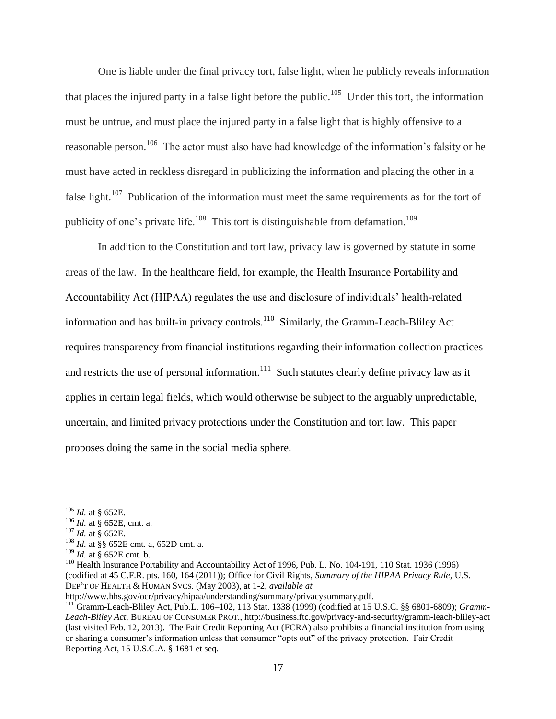One is liable under the final privacy tort, false light, when he publicly reveals information that places the injured party in a false light before the public.<sup>105</sup> Under this tort, the information must be untrue, and must place the injured party in a false light that is highly offensive to a reasonable person.<sup>106</sup> The actor must also have had knowledge of the information's falsity or he must have acted in reckless disregard in publicizing the information and placing the other in a false light.<sup>107</sup> Publication of the information must meet the same requirements as for the tort of publicity of one's private life.<sup>108</sup> This tort is distinguishable from defamation.<sup>109</sup>

In addition to the Constitution and tort law, privacy law is governed by statute in some areas of the law. In the healthcare field, for example, the Health Insurance Portability and Accountability Act (HIPAA) regulates the use and disclosure of individuals' health-related information and has built-in privacy controls.<sup>110</sup> Similarly, the Gramm-Leach-Bliley Act requires transparency from financial institutions regarding their information collection practices and restricts the use of personal information.<sup>111</sup> Such statutes clearly define privacy law as it applies in certain legal fields, which would otherwise be subject to the arguably unpredictable, uncertain, and limited privacy protections under the Constitution and tort law. This paper proposes doing the same in the social media sphere.

 $\overline{a}$ 

<sup>106</sup> *Id.* at § 652E, cmt. a.

<sup>105</sup> *Id.* at § 652E.

<sup>107</sup> *Id.* at § 652E.

<sup>108</sup> *Id.* at §§ 652E cmt. a, 652D cmt. a.

<sup>109</sup> *Id.* at § 652E cmt. b.

<sup>&</sup>lt;sup>110</sup> Health Insurance Portability and Accountability Act of 1996, Pub. L. No. 104-191, 110 Stat. 1936 (1996) (codified at 45 C.F.R. pts. 160, 164 (2011)); Office for Civil Rights, *Summary of the HIPAA Privacy Rule*, U.S. DEP'T OF HEALTH & HUMAN SVCS. (May 2003), at 1-2, *available at*

http://www.hhs.gov/ocr/privacy/hipaa/understanding/summary/privacysummary.pdf.

<sup>111</sup> Gramm-Leach-Bliley Act, Pub.L. 106–102, 113 Stat. 1338 (1999) (codified at 15 U.S.C. §§ 6801-6809); *Gramm-Leach-Bliley Act*, BUREAU OF CONSUMER PROT., http://business.ftc.gov/privacy-and-security/gramm-leach-bliley-act (last visited Feb. 12, 2013). The Fair Credit Reporting Act (FCRA) also prohibits a financial institution from using or sharing a consumer's information unless that consumer "opts out" of the privacy protection. Fair Credit Reporting Act, 15 U.S.C.A. § 1681 et seq.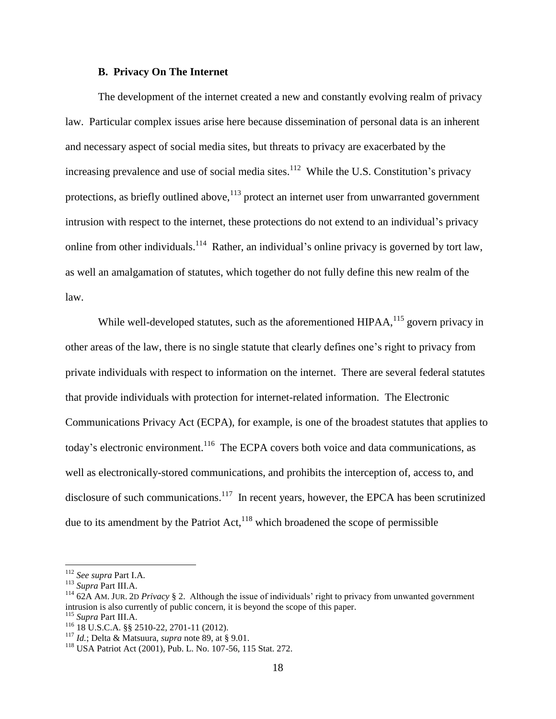#### **B. Privacy On The Internet**

The development of the internet created a new and constantly evolving realm of privacy law. Particular complex issues arise here because dissemination of personal data is an inherent and necessary aspect of social media sites, but threats to privacy are exacerbated by the increasing prevalence and use of social media sites.<sup>112</sup> While the U.S. Constitution's privacy protections, as briefly outlined above, $113$  protect an internet user from unwarranted government intrusion with respect to the internet, these protections do not extend to an individual's privacy online from other individuals.<sup>114</sup> Rather, an individual's online privacy is governed by tort law, as well an amalgamation of statutes, which together do not fully define this new realm of the law.

While well-developed statutes, such as the aforementioned HIPAA,<sup>115</sup> govern privacy in other areas of the law, there is no single statute that clearly defines one's right to privacy from private individuals with respect to information on the internet. There are several federal statutes that provide individuals with protection for internet-related information. The Electronic Communications Privacy Act (ECPA), for example, is one of the broadest statutes that applies to today's electronic environment.<sup>116</sup> The ECPA covers both voice and data communications, as well as electronically-stored communications, and prohibits the interception of, access to, and disclosure of such communications.<sup>117</sup> In recent years, however, the EPCA has been scrutinized due to its amendment by the Patriot Act, $^{118}$  which broadened the scope of permissible

<sup>112</sup> *See supra* Part I.A.

<sup>113</sup> *Supra* Part III.A.

<sup>114</sup> 62A AM. JUR. 2<sup>D</sup> *Privacy* § 2. Although the issue of individuals' right to privacy from unwanted government intrusion is also currently of public concern, it is beyond the scope of this paper.

<sup>115</sup> *Supra* Part III.A.

<sup>116</sup> 18 U.S.C.A. §§ 2510-22, 2701-11 (2012).

<sup>117</sup> *Id.*; Delta & Matsuura, *supra* note 89, at § 9.01.

<sup>118</sup> USA Patriot Act (2001), Pub. L. No. 107-56, 115 Stat. 272.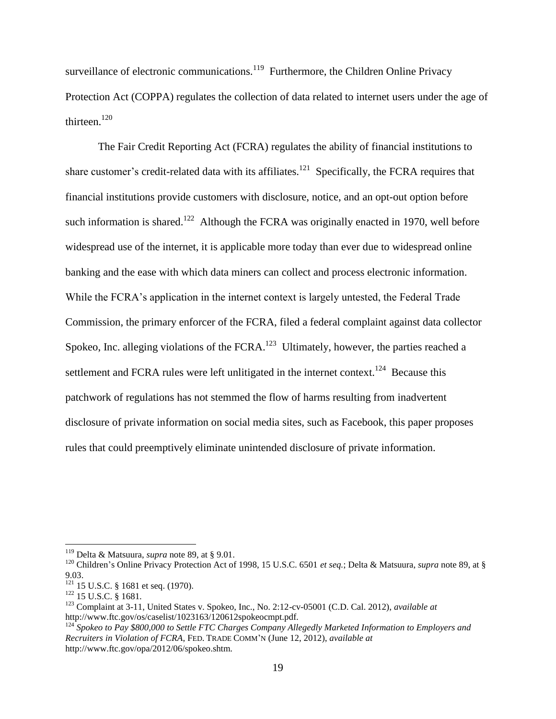surveillance of electronic communications.<sup>119</sup> Furthermore, the Children Online Privacy Protection Act (COPPA) regulates the collection of data related to internet users under the age of thirteen. $120$ 

The Fair Credit Reporting Act (FCRA) regulates the ability of financial institutions to share customer's credit-related data with its affiliates.<sup>121</sup> Specifically, the FCRA requires that financial institutions provide customers with disclosure, notice, and an opt-out option before such information is shared.<sup>122</sup> Although the FCRA was originally enacted in 1970, well before widespread use of the internet, it is applicable more today than ever due to widespread online banking and the ease with which data miners can collect and process electronic information. While the FCRA's application in the internet context is largely untested, the Federal Trade Commission, the primary enforcer of the FCRA, filed a federal complaint against data collector Spokeo, Inc. alleging violations of the FCRA. $^{123}$  Ultimately, however, the parties reached a settlement and FCRA rules were left unlitigated in the internet context.<sup>124</sup> Because this patchwork of regulations has not stemmed the flow of harms resulting from inadvertent disclosure of private information on social media sites, such as Facebook, this paper proposes rules that could preemptively eliminate unintended disclosure of private information.

<sup>119</sup> Delta & Matsuura, *supra* note 89, at § 9.01.

<sup>120</sup> Children's Online Privacy Protection Act of 1998, 15 U.S.C. 6501 *et seq.*; Delta & Matsuura, *supra* note 89, at § 9.03.

<sup>&</sup>lt;sup>121</sup> 15 U.S.C. § 1681 et seq. (1970).

<sup>122</sup> 15 U.S.C. § 1681.

<sup>123</sup> Complaint at 3-11, United States v. Spokeo, Inc., No. 2:12-cv-05001 (C.D. Cal. 2012), *available at*  http://www.ftc.gov/os/caselist/1023163/120612spokeocmpt.pdf.

<sup>124</sup> *Spokeo to Pay \$800,000 to Settle FTC Charges Company Allegedly Marketed Information to Employers and Recruiters in Violation of FCRA*, FED. TRADE COMM'N (June 12, 2012), *available at* http://www.ftc.gov/opa/2012/06/spokeo.shtm.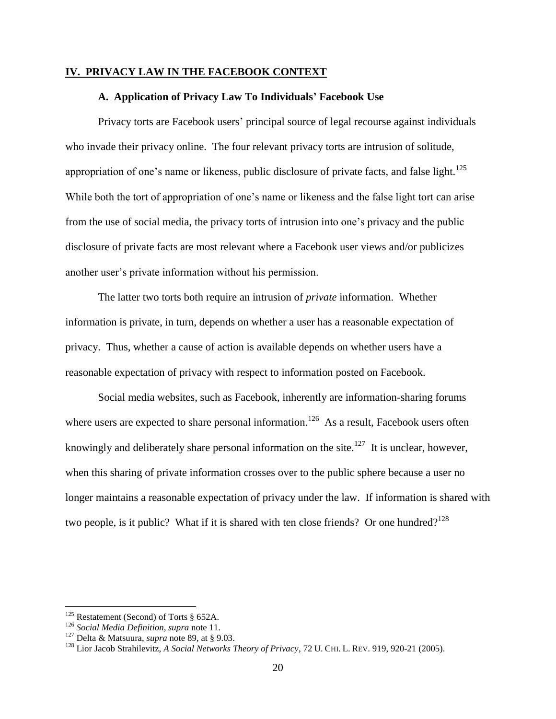#### **IV. PRIVACY LAW IN THE FACEBOOK CONTEXT**

#### **A. Application of Privacy Law To Individuals' Facebook Use**

Privacy torts are Facebook users' principal source of legal recourse against individuals who invade their privacy online. The four relevant privacy torts are intrusion of solitude, appropriation of one's name or likeness, public disclosure of private facts, and false light.<sup>125</sup> While both the tort of appropriation of one's name or likeness and the false light tort can arise from the use of social media, the privacy torts of intrusion into one's privacy and the public disclosure of private facts are most relevant where a Facebook user views and/or publicizes another user's private information without his permission.

The latter two torts both require an intrusion of *private* information. Whether information is private, in turn, depends on whether a user has a reasonable expectation of privacy. Thus, whether a cause of action is available depends on whether users have a reasonable expectation of privacy with respect to information posted on Facebook.

Social media websites, such as Facebook, inherently are information-sharing forums where users are expected to share personal information.<sup>126</sup> As a result, Facebook users often knowingly and deliberately share personal information on the site.<sup>127</sup> It is unclear, however, when this sharing of private information crosses over to the public sphere because a user no longer maintains a reasonable expectation of privacy under the law. If information is shared with two people, is it public? What if it is shared with ten close friends? Or one hundred?<sup>128</sup>

 $125$  Restatement (Second) of Torts § 652A.

<sup>126</sup> *Social Media Definition*, *supra* note 11.

<sup>127</sup> Delta & Matsuura, *supra* note 89, at § 9.03.

<sup>128</sup> Lior Jacob Strahilevitz, *A Social Networks Theory of Privacy*, 72 U. CHI. L. REV. 919, 920-21 (2005).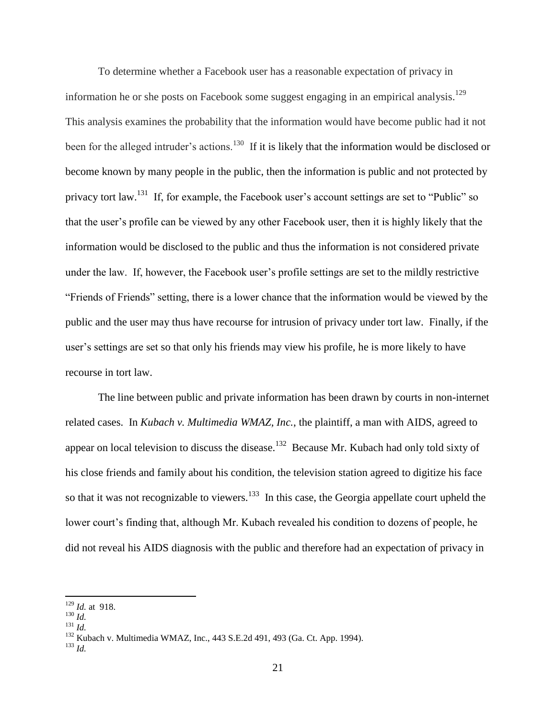To determine whether a Facebook user has a reasonable expectation of privacy in information he or she posts on Facebook some suggest engaging in an empirical analysis.<sup>129</sup> This analysis examines the probability that the information would have become public had it not been for the alleged intruder's actions.<sup>130</sup> If it is likely that the information would be disclosed or become known by many people in the public, then the information is public and not protected by privacy tort law.<sup>131</sup> If, for example, the Facebook user's account settings are set to "Public" so that the user's profile can be viewed by any other Facebook user, then it is highly likely that the information would be disclosed to the public and thus the information is not considered private under the law. If, however, the Facebook user's profile settings are set to the mildly restrictive "Friends of Friends" setting, there is a lower chance that the information would be viewed by the public and the user may thus have recourse for intrusion of privacy under tort law. Finally, if the user's settings are set so that only his friends may view his profile, he is more likely to have recourse in tort law.

The line between public and private information has been drawn by courts in non-internet related cases. In *Kubach v. Multimedia WMAZ, Inc.*, the plaintiff, a man with AIDS, agreed to appear on local television to discuss the disease.<sup>132</sup> Because Mr. Kubach had only told sixty of his close friends and family about his condition, the television station agreed to digitize his face so that it was not recognizable to viewers.<sup>133</sup> In this case, the Georgia appellate court upheld the lower court's finding that, although Mr. Kubach revealed his condition to dozens of people, he did not reveal his AIDS diagnosis with the public and therefore had an expectation of privacy in

<sup>129</sup> *Id.* at 918.

<sup>130</sup> *Id.*

<sup>131</sup> *Id.*

<sup>132</sup> Kubach v. Multimedia WMAZ, Inc., 443 S.E.2d 491, 493 (Ga. Ct. App. 1994).

<sup>133</sup> *Id.*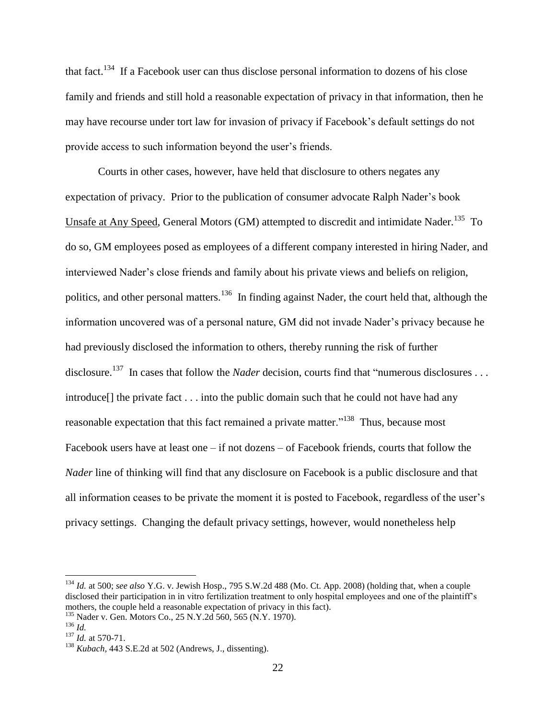that fact.<sup>134</sup> If a Facebook user can thus disclose personal information to dozens of his close family and friends and still hold a reasonable expectation of privacy in that information, then he may have recourse under tort law for invasion of privacy if Facebook's default settings do not provide access to such information beyond the user's friends.

Courts in other cases, however, have held that disclosure to others negates any expectation of privacy. Prior to the publication of consumer advocate Ralph Nader's book Unsafe at Any Speed, General Motors (GM) attempted to discredit and intimidate Nader.<sup>135</sup> To do so, GM employees posed as employees of a different company interested in hiring Nader, and interviewed Nader's close friends and family about his private views and beliefs on religion, politics, and other personal matters.<sup>136</sup> In finding against Nader, the court held that, although the information uncovered was of a personal nature, GM did not invade Nader's privacy because he had previously disclosed the information to others, thereby running the risk of further disclosure.<sup>137</sup> In cases that follow the *Nader* decision, courts find that "numerous disclosures ... introduce[] the private fact . . . into the public domain such that he could not have had any reasonable expectation that this fact remained a private matter."<sup>138</sup> Thus, because most Facebook users have at least one – if not dozens – of Facebook friends, courts that follow the *Nader* line of thinking will find that any disclosure on Facebook is a public disclosure and that all information ceases to be private the moment it is posted to Facebook, regardless of the user's privacy settings. Changing the default privacy settings, however, would nonetheless help

<sup>134</sup> *Id.* at 500; *see also* Y.G. v. Jewish Hosp., 795 S.W.2d 488 (Mo. Ct. App. 2008) (holding that, when a couple disclosed their participation in in vitro fertilization treatment to only hospital employees and one of the plaintiff's mothers, the couple held a reasonable expectation of privacy in this fact).

<sup>135</sup> Nader v. Gen. Motors Co., 25 N.Y.2d 560, 565 (N.Y. 1970).

<sup>136</sup> *Id.*

<sup>137</sup> *Id.* at 570-71.

<sup>138</sup> *Kubach*, 443 S.E.2d at 502 (Andrews, J., dissenting).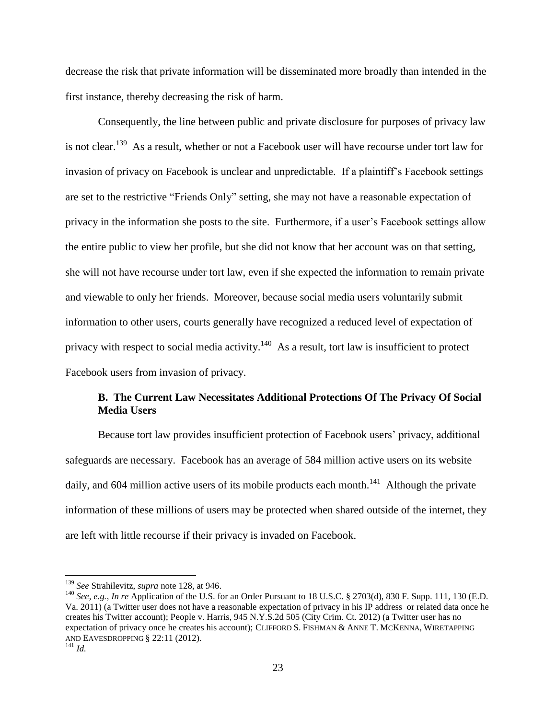decrease the risk that private information will be disseminated more broadly than intended in the first instance, thereby decreasing the risk of harm.

Consequently, the line between public and private disclosure for purposes of privacy law is not clear.<sup>139</sup> As a result, whether or not a Facebook user will have recourse under tort law for invasion of privacy on Facebook is unclear and unpredictable. If a plaintiff's Facebook settings are set to the restrictive "Friends Only" setting, she may not have a reasonable expectation of privacy in the information she posts to the site. Furthermore, if a user's Facebook settings allow the entire public to view her profile, but she did not know that her account was on that setting, she will not have recourse under tort law, even if she expected the information to remain private and viewable to only her friends. Moreover, because social media users voluntarily submit information to other users, courts generally have recognized a reduced level of expectation of privacy with respect to social media activity.<sup>140</sup> As a result, tort law is insufficient to protect Facebook users from invasion of privacy.

### **B. The Current Law Necessitates Additional Protections Of The Privacy Of Social Media Users**

Because tort law provides insufficient protection of Facebook users' privacy, additional safeguards are necessary. Facebook has an average of 584 million active users on its website daily, and 604 million active users of its mobile products each month.<sup>141</sup> Although the private information of these millions of users may be protected when shared outside of the internet, they are left with little recourse if their privacy is invaded on Facebook.

<sup>139</sup> *See* Strahilevitz, *supra* note 128, at 946.

<sup>&</sup>lt;sup>140</sup> *See, e.g., In re* Application of the U.S. for an Order Pursuant to 18 U.S.C. § 2703(d), 830 F. Supp. 111, 130 (E.D. Va. 2011) (a Twitter user does not have a reasonable expectation of privacy in his IP address or related data once he creates his Twitter account); People v. Harris, 945 N.Y.S.2d 505 (City Crim. Ct. 2012) (a Twitter user has no expectation of privacy once he creates his account); CLIFFORD S. FISHMAN & ANNE T. MCKENNA, WIRETAPPING AND EAVESDROPPING § 22:11 (2012).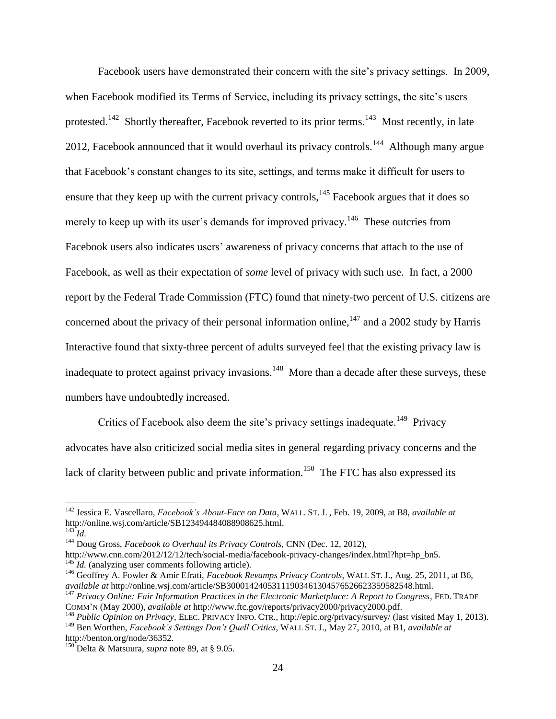Facebook users have demonstrated their concern with the site's privacy settings. In 2009, when Facebook modified its Terms of Service, including its privacy settings, the site's users protested.<sup>142</sup> Shortly thereafter, Facebook reverted to its prior terms.<sup>143</sup> Most recently, in late 2012, Facebook announced that it would overhaul its privacy controls.<sup>144</sup> Although many argue that Facebook's constant changes to its site, settings, and terms make it difficult for users to ensure that they keep up with the current privacy controls,  $145$  Facebook argues that it does so merely to keep up with its user's demands for improved privacy.<sup>146</sup> These outcries from Facebook users also indicates users' awareness of privacy concerns that attach to the use of Facebook, as well as their expectation of *some* level of privacy with such use. In fact, a 2000 report by the Federal Trade Commission (FTC) found that ninety-two percent of U.S. citizens are concerned about the privacy of their personal information online, $147$  and a 2002 study by Harris Interactive found that sixty-three percent of adults surveyed feel that the existing privacy law is inadequate to protect against privacy invasions.<sup>148</sup> More than a decade after these surveys, these numbers have undoubtedly increased.

Critics of Facebook also deem the site's privacy settings inadequate.<sup>149</sup> Privacy advocates have also criticized social media sites in general regarding privacy concerns and the lack of clarity between public and private information.<sup>150</sup> The FTC has also expressed its

<sup>142</sup> Jessica E. Vascellaro, *Facebook's About-Face on Data*, WALL. ST. J. , Feb. 19, 2009, at B8, *available at* http://online.wsj.com/article/SB123494484088908625.html.

 $^{143}$  *Id.* 

<sup>144</sup> Doug Gross, *Facebook to Overhaul its Privacy Controls*, CNN (Dec. 12, 2012),

http://www.cnn.com/2012/12/12/tech/social-media/facebook-privacy-changes/index.html?hpt=hp\_bn5. <sup>145</sup>*Id.* (analyzing user comments following article).

<sup>146</sup> Geoffrey A. Fowler & Amir Efrati, *Facebook Revamps Privacy Controls*, WALL ST. J., Aug. 25, 2011, at B6, *available at* http://online.wsj.com/article/SB30001424053111903461304576526623359582548.html.

<sup>147</sup> *Privacy Online: Fair Information Practices in the Electronic Marketplace: A Report to Congress*, FED. TRADE COMM'N (May 2000), *available at* http://www.ftc.gov/reports/privacy2000/privacy2000.pdf.

<sup>148</sup> *Public Opinion on Privacy*, ELEC. PRIVACY INFO. CTR., http://epic.org/privacy/survey/ (last visited May 1, 2013). <sup>149</sup> Ben Worthen, *Facebook's Settings Don't Quell Critics*, WALL ST. J., May 27, 2010, at B1, *available at*  http://benton.org/node/36352.

<sup>150</sup> Delta & Matsuura, *supra* note 89, at § 9.05.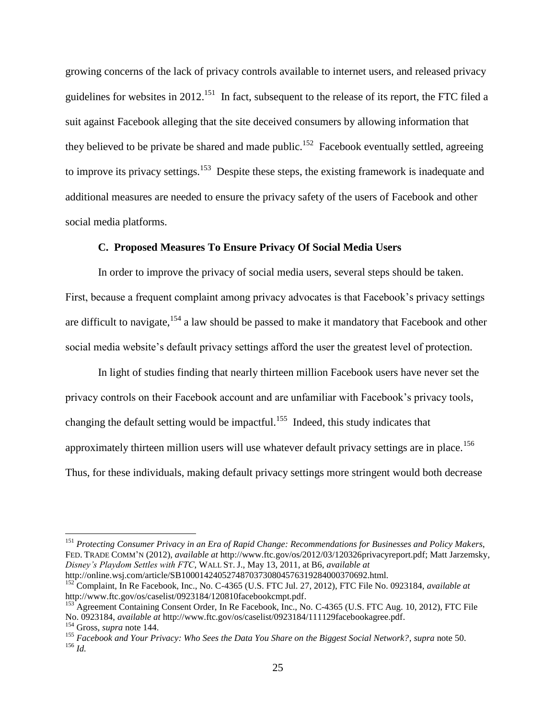growing concerns of the lack of privacy controls available to internet users, and released privacy guidelines for websites in 2012.<sup>151</sup> In fact, subsequent to the release of its report, the FTC filed a suit against Facebook alleging that the site deceived consumers by allowing information that they believed to be private be shared and made public.<sup>152</sup> Facebook eventually settled, agreeing to improve its privacy settings.<sup>153</sup> Despite these steps, the existing framework is inadequate and additional measures are needed to ensure the privacy safety of the users of Facebook and other social media platforms.

#### **C. Proposed Measures To Ensure Privacy Of Social Media Users**

In order to improve the privacy of social media users, several steps should be taken. First, because a frequent complaint among privacy advocates is that Facebook's privacy settings are difficult to navigate,<sup>154</sup> a law should be passed to make it mandatory that Facebook and other social media website's default privacy settings afford the user the greatest level of protection.

In light of studies finding that nearly thirteen million Facebook users have never set the privacy controls on their Facebook account and are unfamiliar with Facebook's privacy tools, changing the default setting would be impactful.<sup>155</sup> Indeed, this study indicates that approximately thirteen million users will use whatever default privacy settings are in place.<sup>156</sup> Thus, for these individuals, making default privacy settings more stringent would both decrease

<sup>151</sup> *Protecting Consumer Privacy in an Era of Rapid Change: Recommendations for Businesses and Policy Makers*, FED. TRADE COMM'N (2012), *available at* http://www.ftc.gov/os/2012/03/120326privacyreport.pdf; Matt Jarzemsky, *Disney's Playdom Settles with FTC*, WALL ST. J., May 13, 2011, at B6, *available at* http://online.wsj.com/article/SB10001424052748703730804576319284000370692.html*.*

<sup>152</sup> Complaint, In Re Facebook, Inc., No. C-4365 (U.S. FTC Jul. 27, 2012), FTC File No. 0923184, *available at*  http://www.ftc.gov/os/caselist/0923184/120810facebookcmpt.pdf.

<sup>&</sup>lt;sup>153</sup> Agreement Containing Consent Order, In Re Facebook, Inc., No. C-4365 (U.S. FTC Aug. 10, 2012), FTC File No. 0923184, *available at* http://www.ftc.gov/os/caselist/0923184/111129facebookagree.pdf. <sup>154</sup> Gross, *supra* note 144.

<sup>155</sup> *Facebook and Your Privacy: Who Sees the Data You Share on the Biggest Social Network?*, *supra* note 50. <sup>156</sup> *Id.*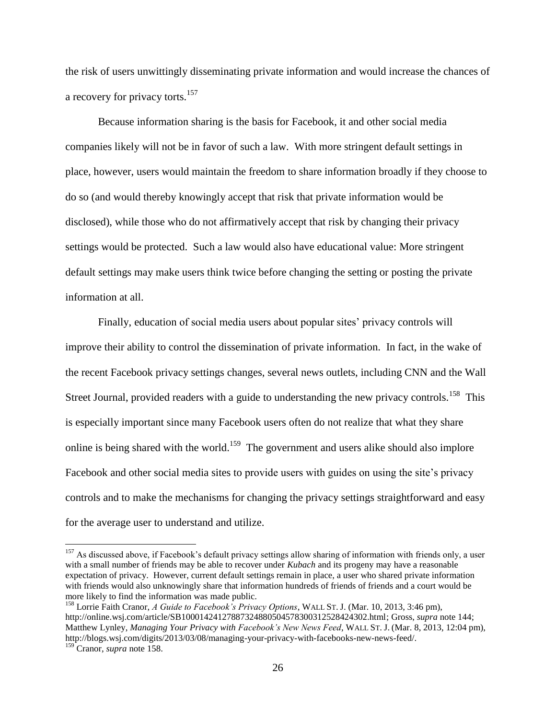the risk of users unwittingly disseminating private information and would increase the chances of a recovery for privacy torts.<sup>157</sup>

Because information sharing is the basis for Facebook, it and other social media companies likely will not be in favor of such a law. With more stringent default settings in place, however, users would maintain the freedom to share information broadly if they choose to do so (and would thereby knowingly accept that risk that private information would be disclosed), while those who do not affirmatively accept that risk by changing their privacy settings would be protected. Such a law would also have educational value: More stringent default settings may make users think twice before changing the setting or posting the private information at all.

Finally, education of social media users about popular sites' privacy controls will improve their ability to control the dissemination of private information. In fact, in the wake of the recent Facebook privacy settings changes, several news outlets, including CNN and the Wall Street Journal, provided readers with a guide to understanding the new privacy controls.<sup>158</sup> This is especially important since many Facebook users often do not realize that what they share online is being shared with the world.<sup>159</sup> The government and users alike should also implore Facebook and other social media sites to provide users with guides on using the site's privacy controls and to make the mechanisms for changing the privacy settings straightforward and easy for the average user to understand and utilize.

<sup>&</sup>lt;sup>157</sup> As discussed above, if Facebook's default privacy settings allow sharing of information with friends only, a user with a small number of friends may be able to recover under *Kubach* and its progeny may have a reasonable expectation of privacy. However, current default settings remain in place, a user who shared private information with friends would also unknowingly share that information hundreds of friends of friends and a court would be more likely to find the information was made public.

<sup>158</sup> Lorrie Faith Cranor, *A Guide to Facebook's Privacy Options*, WALL ST. J. (Mar. 10, 2013, 3:46 pm), http://online.wsj.com/article/SB10001424127887324880504578300312528424302.html; Gross, *supra* note 144; Matthew Lynley, *Managing Your Privacy with Facebook's New News Feed*, WALL ST. J. (Mar. 8, 2013, 12:04 pm), http://blogs.wsj.com/digits/2013/03/08/managing-your-privacy-with-facebooks-new-news-feed/.

<sup>159</sup> Cranor, *supra* note 158.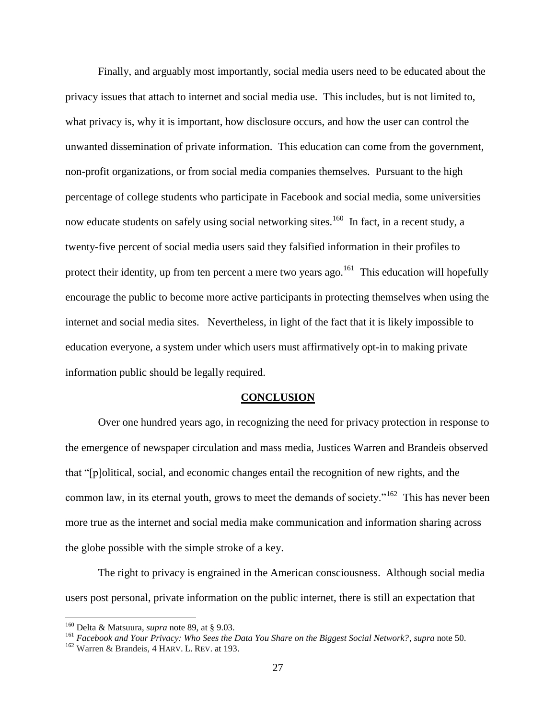Finally, and arguably most importantly, social media users need to be educated about the privacy issues that attach to internet and social media use. This includes, but is not limited to, what privacy is, why it is important, how disclosure occurs, and how the user can control the unwanted dissemination of private information. This education can come from the government, non-profit organizations, or from social media companies themselves. Pursuant to the high percentage of college students who participate in Facebook and social media, some universities now educate students on safely using social networking sites.<sup>160</sup> In fact, in a recent study, a twenty-five percent of social media users said they falsified information in their profiles to protect their identity, up from ten percent a mere two years ago.<sup>161</sup> This education will hopefully encourage the public to become more active participants in protecting themselves when using the internet and social media sites. Nevertheless, in light of the fact that it is likely impossible to education everyone, a system under which users must affirmatively opt-in to making private information public should be legally required.

#### **CONCLUSION**

Over one hundred years ago, in recognizing the need for privacy protection in response to the emergence of newspaper circulation and mass media, Justices Warren and Brandeis observed that "[p]olitical, social, and economic changes entail the recognition of new rights, and the common law, in its eternal youth, grows to meet the demands of society."<sup>162</sup> This has never been more true as the internet and social media make communication and information sharing across the globe possible with the simple stroke of a key.

The right to privacy is engrained in the American consciousness. Although social media users post personal, private information on the public internet, there is still an expectation that

<sup>160</sup> Delta & Matsuura, *supra* note 89, at § 9.03.

<sup>161</sup> *Facebook and Your Privacy: Who Sees the Data You Share on the Biggest Social Network?*, *supra* note 50.

<sup>162</sup> Warren & Brandeis, 4 HARV. L. REV. at 193.